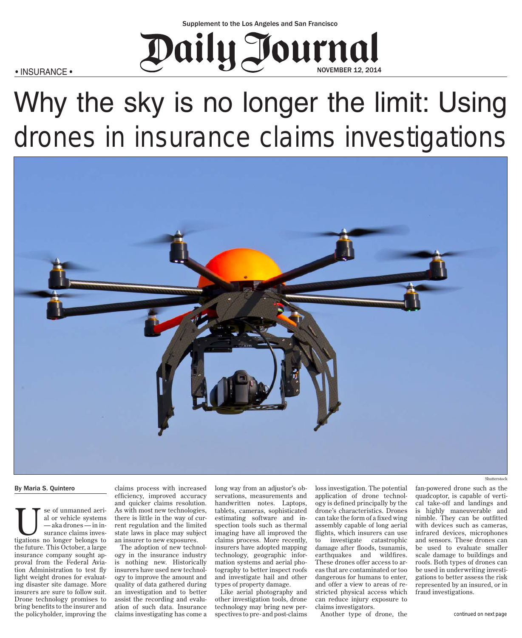## NOVEMBER 12, 2014  $\bullet$  INSURANCE  $\bullet$  Next is no longer the limit is not lower than  $\bullet$  Next is  $\bullet$  Next is  $\bullet$  Next is  $\bullet$  Next is  $\bullet$  Next is  $\bullet$  Next is  $\bullet$  Next is  $\bullet$  Next is  $\bullet$  Next is  $\bullet$  Next is  $\bullet$  Next is  $\bullet$  Next is

• INSURANCE •

# Why the sky is no longer the limit: Using drones in insurance claims investigations



#### By Maria S. Quintero

Use of unmanned aeri-<br>
al or vehicle systems<br>
—aka drones — in in-<br>
surance claims inves-<br>
tigations no longer belongs to al or vehicle systems — aka drones — in insurance claims investhe future. This October, a large insurance company sought approval from the Federal Aviation Administration to test fly light weight drones for evaluating disaster site damage. More insurers are sure to follow suit. Drone technology promises to bring benefits to the insurer and the policyholder, improving the

claims process with increased efficiency, improved accuracy and quicker claims resolution. As with most new technologies, there is little in the way of current regulation and the limited state laws in place may subject an insurer to new exposures.

The adoption of new technology in the insurance industry is nothing new. Historically insurers have used new technology to improve the amount and quality of data gathered during an investigation and to better assist the recording and evaluation of such data. Insurance claims investigating has come a long way from an adjustor's observations, measurements and handwritten notes. Laptops, tablets, cameras, sophisticated estimating software and inspection tools such as thermal imaging have all improved the claims process. More recently, insurers have adopted mapping technology, geographic information systems and aerial photography to better inspect roofs and investigate hail and other types of property damage.

Like aerial photography and other investigation tools, drone technology may bring new perspectives to pre- and post-claims

loss investigation. The potential application of drone technology is defined principally by the drone's characteristics. Drones can take the form of a fixed wing assembly capable of long aerial flights, which insurers can use to investigate catastrophic damage after floods, tsunamis, earthquakes and wildfires. These drones offer access to areas that are contaminated or too dangerous for humans to enter, and offer a view to areas of restricted physical access which can reduce injury exposure to claims investigators.

Another type of drone, the

Shutterstock

fan-powered drone such as the quadcoptor, is capable of vertical take-off and landings and is highly maneuverable and nimble. They can be outfitted with devices such as cameras, infrared devices, microphones and sensors. These drones can be used to evaluate smaller scale damage to buildings and roofs. Both types of drones can be used in underwriting investigations to better assess the risk represented by an insured, or in fraud investigations.